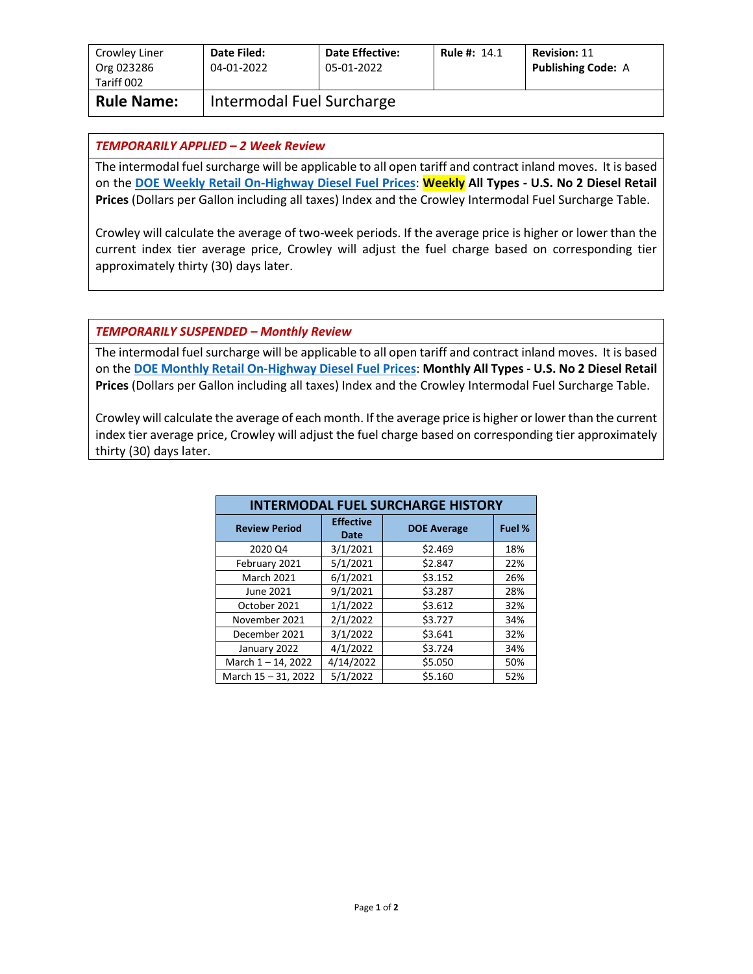| Crowley Liner<br>Org 023286<br>Tariff 002 | Date Filed:<br>04-01-2022 | <b>Date Effective:</b><br>05-01-2022 | <b>Rule #: 14.1</b> | <b>Revision: 11</b><br><b>Publishing Code: A</b> |
|-------------------------------------------|---------------------------|--------------------------------------|---------------------|--------------------------------------------------|
| <b>Rule Name:</b>                         | Intermodal Fuel Surcharge |                                      |                     |                                                  |

## *TEMPORARILY APPLIED – 2 Week Review*

The intermodal fuel surcharge will be applicable to all open tariff and contract inland moves. It is based on the **[DOE Weekly Retail On-Highway Diesel Fuel Prices](https://www.eia.gov/petroleum/gasdiesel/)**: **Weekly All Types - U.S. No 2 Diesel Retail Prices** (Dollars per Gallon including all taxes) Index and the Crowley Intermodal Fuel Surcharge Table.

Crowley will calculate the average of two-week periods. If the average price is higher or lower than the current index tier average price, Crowley will adjust the fuel charge based on corresponding tier approximately thirty (30) days later.

## *TEMPORARILY SUSPENDED – Monthly Review*

The intermodal fuel surcharge will be applicable to all open tariff and contract inland moves. It is based on the **[DOE Monthly Retail On-Highway Diesel Fuel Prices](https://www.eia.gov/petroleum/gasdiesel/)**: **Monthly All Types - U.S. No 2 Diesel Retail Prices** (Dollars per Gallon including all taxes) Index and the Crowley Intermodal Fuel Surcharge Table.

Crowley will calculate the average of each month. If the average price is higher or lower than the current index tier average price, Crowley will adjust the fuel charge based on corresponding tier approximately thirty (30) days later.

| <b>INTERMODAL FUEL SURCHARGE HISTORY</b> |                          |                    |        |  |  |
|------------------------------------------|--------------------------|--------------------|--------|--|--|
| <b>Review Period</b>                     | <b>Effective</b><br>Date | <b>DOE Average</b> | Fuel % |  |  |
| 2020 Q4                                  | 3/1/2021                 | \$2.469            | 18%    |  |  |
| February 2021                            | 5/1/2021                 | \$2.847            | 22%    |  |  |
| <b>March 2021</b>                        | 6/1/2021                 | \$3.152            | 26%    |  |  |
| June 2021                                | 9/1/2021                 | \$3.287            | 28%    |  |  |
| October 2021                             | 1/1/2022                 | \$3.612            | 32%    |  |  |
| November 2021                            | 2/1/2022                 | \$3.727            | 34%    |  |  |
| December 2021                            | 3/1/2022                 | \$3.641            | 32%    |  |  |
| January 2022                             | 4/1/2022                 | \$3.724            | 34%    |  |  |
| March $1 - 14$ , 2022                    | 4/14/2022                | \$5.050            | 50%    |  |  |
| March 15 - 31, 2022                      | 5/1/2022                 | \$5.160            | 52%    |  |  |